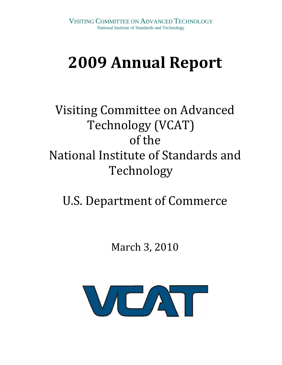# **2009 Annual Report**

## Visiting Committee on Advanced Technology (VCAT) of the National Institute of Standards and Technology

## U.S. Department of Commerce

## March 3, 2010

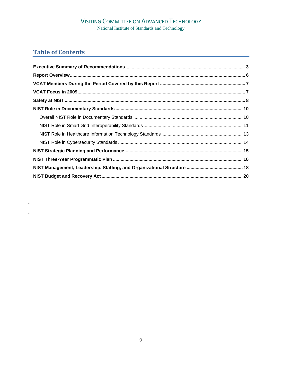## **VISITING COMMITTEE ON ADVANCED TECHNOLOGY**

National Institute of Standards and Technology

## **Table of Contents**

k,

l,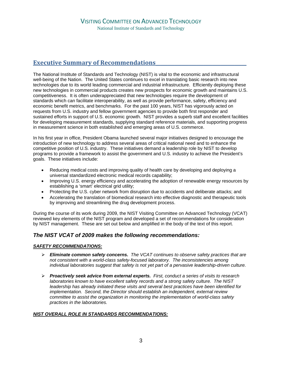## **Executive Summary of Recommendations\_\_\_\_\_\_\_\_\_\_\_\_\_\_\_\_\_\_\_\_\_\_\_\_\_\_\_\_\_\_\_\_\_\_\_\_\_\_**

The National Institute of Standards and Technology (NIST) is vital to the economic and infrastructural well-being of the Nation. The United States continues to excel in translating basic research into new technologies due to its world leading commercial and industrial infrastructure. Efficiently deploying these new technologies in commercial products creates new prospects for economic growth and maintains U.S. competitiveness. It is often underappreciated that new technologies require the development of standards which can facilitate interoperability, as well as provide performance, safety, efficiency and economic benefit metrics, and benchmarks. For the past 100 years, NIST has vigorously acted on requests from U.S. industry and fellow government agencies to provide both first responder and sustained efforts in support of U.S. economic growth. NIST provides a superb staff and excellent facilities for developing measurement standards, supplying standard reference materials, and supporting progress in measurement science in both established and emerging areas of U.S. commerce.

In his first year in office, President Obama launched several major initiatives designed to encourage the introduction of new technology to address several areas of critical national need and to enhance the competitive position of U.S. industry. These initiatives demand a leadership role by NIST to develop programs to provide a framework to assist the government and U.S. industry to achieve the President's goals. These initiatives include:

- Reducing medical costs and improving quality of health care by developing and deploying a universal standardized electronic medical records capability;
- Improving U.S. energy efficiency and accelerating the adoption of renewable energy resources by establishing a 'smart' electrical grid utility;
- Protecting the U.S. cyber network from disruption due to accidents and deliberate attacks; and
- Accelerating the translation of biomedical research into effective diagnostic and therapeutic tools by improving and streamlining the drug development process.

During the course of its work during 2009, the NIST Visiting Committee on Advanced Technology (VCAT) reviewed key elements of the NIST program and developed a set of recommendations for consideration by NIST management. These are set out below and amplified in the body of the text of this report.

## *The NIST VCAT of 2009 makes the following recommendations:*

### *SAFETY RECOMMENDATIONS:*

- ¾ *Eliminate common safety concerns. The VCAT continues to observe safety practices that are not consistent with a world-class safety-focused laboratory. The inconsistencies among individual laboratories suggest that safety is not yet part of a pervasive leadership-driven culture.*
- ¾ *Proactively seek advice from external experts. First, conduct a series of visits to research laboratories known to have excellent safety records and a strong safety culture. The NIST leadership has already initiated these visits and several best practices have been identified for implementation. Second, the Director should establish an independent, external review committee to assist the organization in monitoring the implementation of world-class safety practices in the laboratories.*

## *NIST OVERALL ROLE IN STANDARDS RECOMMENDATIONS:*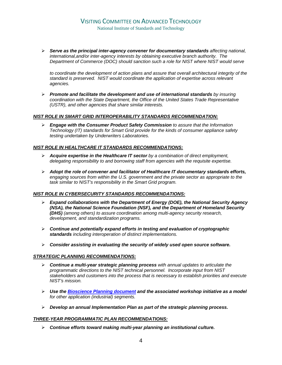¾ *Serve as the principal inter-agency convener for documentary standards affecting national, international,and/or inter-agency interests by obtaining executive branch authority. The Department of Commerce (DOC) should sanction such a role for NIST where NIST would serve* 

*to coordinate the development of action plans and assure that overall architectural integrity of the standard is preserved. NIST would coordinate the application of expertise across relevant agencies.* 

¾ *Promote and facilitate the development and use of international standards by insuring coordination with the State Department, the Office of the United States Trade Representative (USTR), and other agencies that share similar interests.* 

#### *NIST ROLE IN SMART GRID INTEROPERABILITY STANDARDS RECOMMENDATION:*

¾ *Engage with the Consumer Product Safety Commission to assure that the Information Technology (IT) standards for Smart Grid provide for the kinds of consumer appliance safety testing undertaken by Underwriters Laboratories.* 

#### *NIST ROLE IN HEALTHCARE IT STANDARDS RECOMMENDATIONS:*

- ¾ *Acquire expertise in the Healthcare IT sector by a combination of direct employment, delegating responsibility to and borrowing staff from agencies with the requisite expertise.*
- ¾ *Adopt the role of convener and facilitator of Healthcare IT documentary standards efforts, engaging sources from within the U.S. government and the private sector as appropriate to the task similar to NIST's responsibility in the Smart Grid program.*

#### *NIST ROLE IN CYBERSECURITY STANDARDS RECOMMENDATIONS:*

- ¾ *Expand collaborations with the Department of Energy (DOE), the National Security Agency (NSA), the National Science Foundation (NSF), and the Department of Homeland Security (DHS) (among others) to assure coordination among multi-agency security research, development, and standardization programs.*
- ¾ *Continue and potentially expand efforts in testing and evaluation of cryptographic standards including interoperation of distinct implementations.*
- ¾ *Consider assisting in evaluating the security of widely used open source software.*

### *STRATEGIC PLANNING RECOMMENDATIONS:*

- ¾ *Continue a multi-year strategic planning process with annual updates to articulate the programmatic directions to the NIST technical personnel. Incorporate input from NIST stakeholders and customers into the process that is necessary to establish priorities and execute NIST's mission.*
- ¾ *Use the Bioscience Planning document and the associated workshop initiative as a model for other application (industrial) segments.*
- ¾ *Develop an annual Implementation Plan as part of the strategic planning process.*

#### *THREE-YEAR PROGRAMMATIC PLAN RECOMMENDATIONS:*

¾ *Continue efforts toward making multi-year planning an institutional culture.*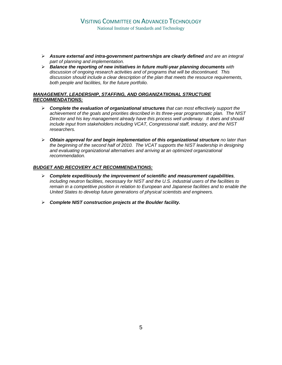- ¾ *Assure external and intra-government partnerships are clearly defined and are an integral part of planning and implementation.*
- ¾ *Balance the reporting of new initiatives in future multi-year planning documents with discussion of ongoing research activities and of programs that will be discontinued. This discussion should include a clear description of the plan that meets the resource requirements, both people and facilities, for the future portfolio.*

#### *MANAGEMENT, LEADERSHIP, STAFFING, AND ORGANIZATIIONAL STRUCTURE RECOMMENDATIONS:*

- ¾ *Complete the evaluation of organizational structures that can most effectively support the achievement of the goals and priorities described in its three-year programmatic plan. The NIST Director and his key management already have this process well underway. It does and should include input from stakeholders including VCAT, Congressional staff, industry, and the NIST researchers.*
- ¾ *Obtain approval for and begin implementation of this organizational structure no later than the beginning of the second half of 2010. The VCAT supports the NIST leadership in designing and evaluating organizational alternatives and arriving at an optimized organizational recommendation.*

### *BUDGET AND RECOVERY ACT RECOMMENDATIONS:*

- ¾ *Complete expeditiously the improvement of scientific and measurement capabilities, including neutron facilities, necessary for NIST and the U.S. industrial users of the facilities to remain in a competitive position in relation to European and Japanese facilities and to enable the United States to develop future generations of physical scientists and engineers.*
- ¾ *Complete NIST construction projects at the Boulder facility.*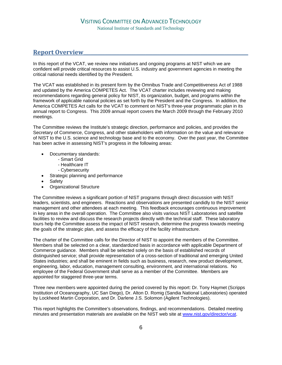## **Report Overview\_\_\_\_\_\_\_\_\_\_\_\_\_\_\_\_\_\_\_\_\_\_\_\_\_\_\_\_\_\_\_\_\_\_\_\_\_\_\_\_\_\_\_\_\_\_\_\_\_\_\_\_\_\_\_\_\_\_\_\_\_\_\_\_\_\_\_\_\_**

In this report of the VCAT, we review new initiatives and ongoing programs at NIST which we are confident will provide critical resources to assist U.S. industry and government agencies in meeting the critical national needs identified by the President.

The VCAT was established in its present form by the Omnibus Trade and Competitiveness Act of 1988 and updated by the America COMPETES Act. The VCAT charter includes reviewing and making recommendations regarding general policy for NIST, its organization, budget, and programs within the framework of applicable national policies as set forth by the President and the Congress. In addition, the America COMPETES Act calls for the VCAT to comment on NIST's three-year programmatic plan in its annual report to Congress. This 2009 annual report covers the March 2009 through the February 2010 meetings.

The Committee reviews the Institute's strategic direction, performance and policies, and provides the Secretary of Commerce, Congress, and other stakeholders with information on the value and relevance of NIST to the U.S. science and technology base and to the economy. Over the past year, the Committee has been active in assessing NIST's progress in the following areas:

- Documentary standards:
	- Smart Grid
	- Healthcare IT
	- Cybersecurity
- Strategic planning and performance
- **Safety**
- Organizational Structure

The Committee reviews a significant portion of NIST programs through direct discussion with NIST leaders, scientists, and engineers. Reactions and observations are presented candidly to the NIST senior management and other attendees at each meeting. This feedback encourages continuous improvement in key areas in the overall operation. The Committee also visits various NIST Laboratories and satellite facilities to review and discuss the research projects directly with the technical staff. These laboratory tours help the Committee assess the impact of NIST research, determine the progress towards meeting the goals of the strategic plan, and assess the efficacy of the facility infrastructure.

The charter of the Committee calls for the Director of NIST to appoint the members of the Committee. Members shall be selected on a clear, standardized basis in accordance with applicable Department of Commerce guidance. Members shall be selected solely on the basis of established records of distinguished service; shall provide representation of a cross-section of traditional and emerging United States industries; and shall be eminent in fields such as business, research, new product development, engineering, labor, education, management consulting, environment, and international relations. No employee of the Federal Government shall serve as a member of the Committee. Members are appointed for staggered three-year terms.

Three new members were appointed during the period covered by this report: Dr. Tony Haymet (Scripps Institution of Oceanography, UC San Diego), Dr. Alton D. Romig (Sandia National Laboratories) operated by Lockheed Martin Corporation, and Dr. Darlene J.S. Solomon (Agilent Technologies).

This report highlights the Committee's observations, findings, and recommendations. Detailed meeting minutes and presentation materials are available on the NIST web site at www.nist.gov/director/vcat.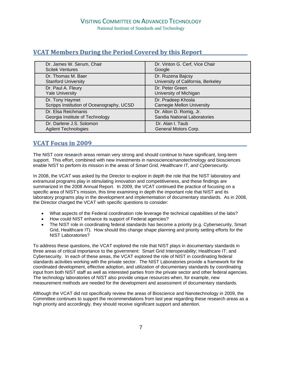## **VCAT Members During the Period Covered by this Report\_\_\_\_\_\_\_\_\_\_\_\_\_\_\_\_\_\_\_**

| Dr. James W. Serum, Chair                 | Dr. Vinton G. Cerf, Vice Chair     |
|-------------------------------------------|------------------------------------|
| <b>Scitek Ventures</b>                    | Google                             |
| Dr. Thomas M. Baer                        | Dr. Ruzena Bajcsy                  |
| <b>Stanford University</b>                | University of California, Berkeley |
| Dr. Paul A. Fleury                        | Dr. Peter Green                    |
| <b>Yale University</b>                    | University of Michigan             |
| Dr. Tony Haymet                           | Dr. Pradeep Khosla                 |
| Scripps Institution of Oceanography, UCSD | <b>Carnegie Mellon University</b>  |
| Dr. Elsa Reichmanis                       | Dr. Alton D. Romig, Jr.            |
| Georgia Institute of Technology           | Sandia National Laboratories       |
| Dr. Darlene J.S. Solomon                  | Dr. Alan I. Taub                   |
| <b>Agilent Technologies</b>               | General Motors Corp.               |

## **VCAT Focus in 2009\_\_\_\_\_\_\_\_\_\_\_\_\_\_\_\_\_\_\_\_\_\_\_\_\_\_\_\_\_\_\_\_\_\_\_\_\_\_\_\_\_\_\_\_\_\_\_\_\_\_\_\_\_\_\_\_\_\_\_\_\_\_\_\_\_**

The NIST core research areas remain very strong and should continue to have significant, long-term support. This effort, combined with new investments in nanoscience/nanotechnology and biosciences enable NIST to perform its mission in the areas of S*mart Grid, Healthcare IT, and Cybersecurity.*

In 2008, the VCAT was asked by the Director to explore in depth the role that the NIST laboratory and extramural programs play in stimulating innovation and competitiveness, and these findings are summarized in the 2008 Annual Report. In 2009, the VCAT continued the practice of focusing on a specific area of NIST's mission, this time examining in depth the important role that NIST and its laboratory programs play in the development and implementation of documentary standards. As in 2008, the Director charged the VCAT with specific questions to consider:

- What aspects of the Federal coordination role leverage the technical capabilities of the labs?
- How could NIST enhance its support of Federal agencies?
- The NIST role in coordinating federal standards has become a priority (e.g. Cybersecurity, Smart Grid, Healthcare IT). How should this change shape planning and priority setting efforts for the NIST Laboratories?

To address these questions, the VCAT explored the role that NIST plays in documentary standards in three areas of critical importance to the government: Smart Grid Interoperability; Healthcare IT; and Cybersecurity. In each of these areas, the VCAT explored the role of NIST in coordinating federal standards activities working with the private sector. The NIST Laboratories provide a framework for the coordinated development, effective adoption, and utilization of documentary standards by coordinating input from both NIST staff as well as interested parties from the private sector and other federal agencies. The technology laboratories of NIST also provide unique resources when, for example, new measurement methods are needed for the development and assessment of documentary standards.

Although the VCAT did not specifically review the areas of Bioscience and Nanotechnology in 2009, the Committee continues to support the recommendations from last year regarding these research areas as a high priority and accordingly, they should receive significant support and attention.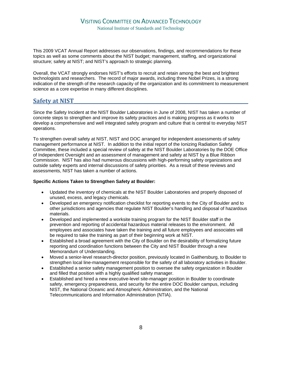## VISITING COMMITTEE ON ADVANCED TECHNOLOGY National Institute of Standards and Technology

This 2009 VCAT Annual Report addresses our observations, findings, and recommendations for these topics as well as some comments about the NIST budget; management, staffing, and organizational structure; safety at NIST; and NIST's approach to strategic planning.

Overall, the VCAT strongly endorses NIST's efforts to recruit and retain among the best and brightest technologists and researchers. The record of major awards, including three Nobel Prizes, is a strong indication of the strength of the research capacity of the organization and its commitment to measurement science as a core expertise in many different disciplines.

## **Safety at NIST\_\_\_\_\_\_\_\_\_\_\_\_\_\_\_\_\_\_\_\_\_\_\_\_\_\_\_\_\_\_\_\_\_\_\_\_\_\_\_\_\_\_\_\_\_\_\_\_\_\_\_\_\_\_\_\_\_\_\_\_\_\_\_\_\_\_\_\_\_\_\_\_\_**

Since the Safety Incident at the NIST Boulder Laboratories in June of 2008, NIST has taken a number of concrete steps to strengthen and improve its safety practices and is making progress as it works to develop a comprehensive and well integrated safety program and culture that is central to everyday NIST operations.

To strengthen overall safety at NIST, NIST and DOC arranged for independent assessments of safety management performance at NIST. In addition to the initial report of the Ionizing Radiation Safety Committee, these included a special review of safety at the NIST Boulder Laboratories by the DOE Office of Independent Oversight and an assessment of management and safety at NIST by a Blue Ribbon Commission. NIST has also had numerous discussions with high-performing safety organizations and outside safety experts and internal discussions of safety priorities. As a result of these reviews and assessments, NIST has taken a number of actions.

#### **Specific Actions Taken to Strengthen Safety at Boulder:**

- Updated the inventory of chemicals at the NIST Boulder Laboratories and properly disposed of unused, excess, and legacy chemicals.
- Developed an emergency notification checklist for reporting events to the City of Boulder and to other jurisdictions and agencies that regulate NIST Boulder's handling and disposal of hazardous materials.
- Developed and implemented a worksite training program for the NIST Boulder staff in the prevention and reporting of accidental hazardous material releases to the environment. All employees and associates have taken the training and all future employees and associates will be required to take the training as part of their beginning work at NIST.
- Established a broad agreement with the City of Boulder on the desirability of formalizing future reporting and coordination functions between the City and NIST Boulder through a new Memorandum of Understanding.
- Moved a senior-level research-director position, previously located in Gaithersburg, to Boulder to strengthen local line-management responsible for the safety of all laboratory activities in Boulder.
- Established a senior safety management position to oversee the safety organization in Boulder and filled that position with a highly qualified safety manager.
- Established and hired a new executive-level site-manager position in Boulder to coordinate safety, emergency preparedness, and security for the entire DOC Boulder campus, including NIST, the National Oceanic and Atmospheric Administration, and the National Telecommunications and Information Administration (NTIA).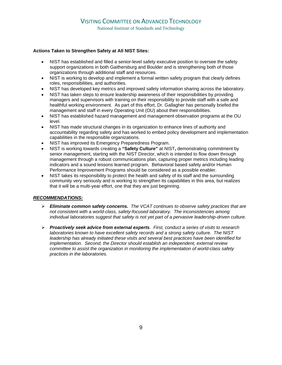### **Actions Taken to Strengthen Safety at All NIST Sites:**

- NIST has established and filled a senior-level safety executive position to oversee the safety support organizations in both Gaithersburg and Boulder and is strengthening both of those organizations through additional staff and resources.
- NIST is working to develop and implement a formal written safety program that clearly defines roles, responsibilities, and authorities.
- NIST has developed key metrics and improved safety information sharing across the laboratory.
- NIST has taken steps to ensure leadership awareness of their responsibilities by providing managers and supervisors with training on their responsibility to provide staff with a safe and healthful working environment. As part of this effort, Dr. Gallagher has personally briefed the management and staff in every Operating Unit (OU) about their responsibilities.
- NIST has established hazard management and management observation programs at the OU level.
- NIST has made structural changes in its organization to enhance lines of authority and accountability regarding safety and has worked to embed policy development and implementation capabilities in the responsible organizations.
- NIST has improved its Emergency Preparedness Program.
- NIST is working towards creating a **"Safety Culture"** at NIST**,** demonstrating commitment by senior management, starting with the NIST Director, which is intended to flow down through management through a robust communications plan, capturing proper metrics including leading indicators and a sound lessons learned program. Behavioral based safety and/or Human Performance Improvement Programs should be considered as a possible enabler.
- NIST takes its responsibility to protect the health and safety of its staff and the surrounding community very seriously and is working to strengthen its capabilities in this area, but realizes that it will be a multi-year effort, one that they are just beginning.

### *RECOMMENDATIONS:*

- ¾ *Eliminate common safety concerns. The VCAT continues to observe safety practices that are not consistent with a world-class, safety-focused laboratory. The inconsistencies among individual laboratories suggest that safety is not yet part of a pervasive leadership-driven culture.*
- ¾ *Proactively seek advice from external experts. First, conduct a series of visits to research laboratories known to have excellent safety records and a strong safety culture. The NIST leadership has already initiated these visits and several best practices have been identified for implementation. Second, the Director should establish an independent, external review committee to assist the organization in monitoring the implementation of world-class safety practices in the laboratories.*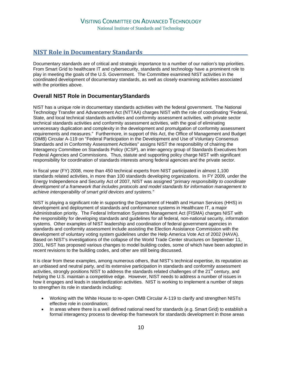## **NIST Role in Documentary Standards\_\_\_\_\_\_\_\_\_\_\_\_\_\_\_\_\_\_\_\_\_\_\_\_\_\_\_\_\_\_\_\_\_\_\_\_\_\_\_\_\_\_\_\_**

Documentary standards are of critical and strategic importance to a number of our nation's top priorities. From Smart Grid to healthcare IT and cybersecurity, standards and technology have a prominent role to play in meeting the goals of the U.S. Government. The Committee examined NIST activities in the coordinated development of documentary standards, as well as closely examining activities associated with the priorities above.

## **Overall NIST Role in DocumentaryStandards**

NIST has a unique role in documentary standards activities with the federal government. The National Technology Transfer and Advancement Act (NTTAA) charges NIST with the role of coordinating "Federal, State, and local technical standards activities and conformity assessment activities, with private sector technical standards activities and conformity assessment activities, with the goal of eliminating unnecessary duplication and complexity in the development and promulgation of conformity assessment requirements and measures." Furthermore, in support of this Act, the Office of Management and Budget (OMB) Circular A-119 on "Federal Participation in the Development and Use of Voluntary Consensus Standards and in Conformity Assessment Activities" assigns NIST the responsibility of chairing the Interagency Committee on Standards Policy (ICSP), an inter-agency group of Standards Executives from Federal Agencies and Commissions. Thus, statute and supporting policy charge NIST with significant responsibility for coordination of standards interests among federal agencies and the private sector.

In fiscal year (FY) 2008, more than 450 technical experts from NIST participated in almost 1,100 standards related activities, in more than 100 standards developing organizations. In FY 2009, under the Energy Independence and Security Act of 2007, NIST was assigned "*primary responsibility to coordinate development of a framework that includes protocols and model standards for information management to achieve interoperability of smart grid devices and systems."* 

NIST is playing a significant role in supporting the Department of Health and Human Services (HHS) in development and deployment of standards and conformance systems in Healthcare IT, a major Administration priority. The Federal Information Systems Management Act (FISMA) charges NIST with the responsibility for developing standards and guidelines for all federal, non-national security, information systems. Other examples of NIST leadership and coordination of federal government agencies in standards and conformity assessment include assisting the Election Assistance Commission with the development of voluntary voting system guidelines under the Help America Vote Act of 2002 (HAVA). Based on NIST's investigations of the collapse of the World Trade Center structures on September 11, 2001, NIST has proposed various changes to model building codes, some of which have been adopted in recent revisions to the building codes, and other are still being discussed.

It is clear from these examples, among numerous others, that NIST's technical expertise, its reputation as an unbiased and neutral party, and its extensive participation in standards and conformity assessment activities, strongly positions NIST to address the standards related challenges of the  $21<sup>st</sup>$  century, and helping the U.S. maintain a competitive edge. However, NIST needs to address a number of issues in how it engages and leads in standardization activities. NIST is working to implement a number of steps to strengthen its role in standards including:

- Working with the White House to re-open OMB Circular A-119 to clarify and strengthen NISTs effective role in coordination;
- In areas where there is a well defined national need for standards (e.g. Smart Grid) to establish a formal interagency process to develop the framework for standards development in those areas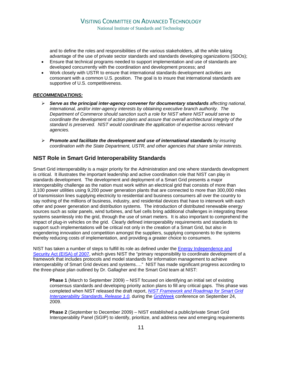and to define the roles and responsibilities of the various stakeholders, all the while taking advantage of the use of private sector standards and standards developing oganizations (SDOs);

- Ensure that technical programs needed to support implementation and use of standards are developed concurrently with the coordination and development process; and
- Work closely with USTR to ensure that international standards development activities are consonant with a common U.S. position. The goal is to insure that international standards are supportive of U.S. competitiveness.

#### *RECOMMENDATIONS:*

- ¾ *Serve as the principal inter-agency convener for documentary standards affecting national, international, and/or inter-agency interests by obtaining executive branch authority. The Department of Commerce should sanction such a role for NIST where NIST would serve to coordinate the development of action plans and assure that overall architectural integrity of the standard is preserved. NIST would coordinate the application of expertise across relevant agencies.*
- ¾ *Promote and facilitate the development and use of international standards by insuring coordination with the State Department, USTR, and other agencies that share similar interests.*

## **NIST Role in Smart Grid Interoperability Standards**

Smart Grid interoperability is a major priority for the Administration and one where standards development is critical. It illustrates the important leadership and active coordination role that NIST can play in standards development. The development and deployment of a Smart Grid presents a major interoperability challenge as the nation must work within an electrical grid that consists of more than 3,100 power utilities using 9,200 power generation plants that are connected to more than 300,000 miles of transmission lines supplying electricity to residential and business consumers all over the country to say nothing of the millions of business, industry, and residential devices that have to interwork with each other and power generation and distribution systems. The introduction of distributed renewable energy sources such as solar panels, wind turbines, and fuel cells bring additional challenges in integrating these systems seamlessly into the grid, through the use of smart meters. It is also important to comprehend the impact of plug-in vehicles on the grid. Clearly defined interoperability requirements and standards to support such implementations will be critical not only in the creation of a Smart Grid, but also in engendering innovation and competition amongst the suppliers, supplying components to the systems thereby reducing costs of implementation, and providing a greater choice to consumers.

NIST has taken a number of steps to fulfill its role as defined under the **Energy Independence and** Security Act (EISA) of 2007, which gives NIST the "primary responsibility to coordinate development of a framework that includes protocols and model standards for information management to achieve interoperability of Smart Grid devices and systems…." NIST has made significant progress according to the three-phase plan outlined by Dr. Gallagher and the Smart Grid team at NIST:

**Phase 1** (March to September 2009) – NIST focused on identifying an initial set of existing consensus standards and developing priority action plans to fill any critical gaps. This phase was completed when NIST released the draft report, *NIST Framework and Roadmap for Smart Grid Interoperability Standards*, *Release 1.0,* during the GridWeek conference on September 24, 2009.

**Phase 2** (September to December 2009) – NIST established a public/private Smart Grid Interoperability Panel (SGIP) to identify, prioritize, and address new and emerging requirements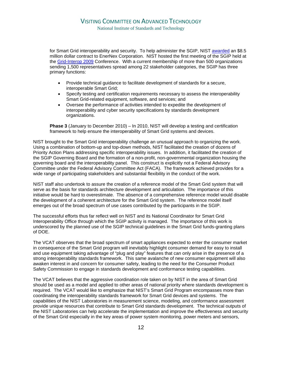for Smart Grid interoperability and security. To help administer the SGIP, NIST awarded an \$8.5 million dollar contract to EnerNex Corporation. NIST hosted the first meeting of the SGIP held at the Grid-Interop 2009 Conference. With a current membership of more than 500 organizations sending 1,500 representatives spread among 22 stakeholder categories, the SGIP has three primary functions:

- Provide technical guidance to facilitate development of standards for a secure, interoperable Smart Grid;
- Specify testing and certification requirements necessary to assess the interoperability Smart Grid-related equipment, software, and services; and
- Oversee the performance of activities intended to expedite the development of interoperability and cyber security specifications by standards development organizations.

**Phase 3** (January to December 2010) – In 2010, NIST will develop a testing and certification framework to help ensure the interoperability of Smart Grid systems and devices.

NIST brought to the Smart Grid interoperability challenge an unusual approach to organizing the work. Using a combination of bottom-up and top-down methods, NIST facilitated the creation of dozens of Priority Action Plans addressing specific interoperability issues. In addition, it facilitated the creation of the SGIP Governing Board and the formation of a non-profit, non-governmental organization housing the governing board and the interoperability panel. This construct is explicitly not a Federal Advisory Committee under the Federal Advisory Committee Act (FACA). The framework achieved provides for a wide range of participating stakeholders and substantial flexibility in the conduct of the work.

NIST staff also undertook to assure the creation of a reference model of the Smart Grid system that will serve as the basis for standards architecture development and articulation. The importance of this initiative would be hard to overestimate. The absence of a comprehensive reference model would disable the development of a coherent architecture for the Smart Grid system. The reference model itself emerges out of the broad spectrum of use cases contributed by the participants in the SGIP.

The successful efforts thus far reflect well on NIST and its National Coordinator for Smart Grid Interoperability Office through which the SGIP activity is managed. The importance of this work is underscored by the planned use of the SGIP technical guidelines in the Smart Grid funds-granting plans of DOE.

The VCAT observes that the broad spectrum of smart appliances expected to enter the consumer market in consequence of the Smart Grid program will inevitably highlight consumer demand for easy to install and use equipment taking advantage of "plug and play" features that can only arise in the presence of a strong interoperability standards framework. This same avalanche of new consumer equipment will also awaken interest in and concern for consumer safety, leading to the need for the Consumer Product Safety Commission to engage in standards development and conformance testing capabilities.

The VCAT believes that the aggressive coordination role taken on by NIST in the area of Smart Grid should be used as a model and applied to other areas of national priority where standards development is required. The VCAT would like to emphasize that NIST's Smart Grid Program encompasses more than coordinating the interoperability standards framework for Smart Grid devices and systems. The capabilities of the NIST Laboratories in measurement science, modeling, and conformance assessment provide unique resources that contribute to Smart Grid standards development. The technical outputs of the NIST Laboratories can help accelerate the implementation and improve the effectiveness and security of the Smart Grid especially in the key areas of power system monitoring, power meters and sensors,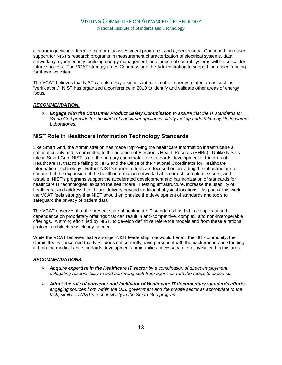## VISITING COMMITTEE ON ADVANCED TECHNOLOGY

National Institute of Standards and Technology

electromagnetic interference, conformity assessment programs, and cybersecurity. Continued increased support for NIST's research programs in measurement characterization of electrical systems, data networking, cybersecurity, building energy management, and industrial control systems will be critical for future success. The VCAT strongly urges Congress and the Administration to support increased funding for these activities.

The VCAT believes that NIST can also play a significant role in other energy related areas such as "verification." NIST has organized a conference in 2010 to identify and validate other areas of energy focus.

#### *RECOMMENDATION:*

¾ *Engage with the Consumer Product Safety Commission to assure that the IT standards for Smart Grid provide for the kinds of consumer appliance safety testing undertaken by Underwriters Laboratories.* 

## **NIST Role in Healthcare Information Technology Standards**

Like Smart Grid, the Administration has made improving the healthcare information infrastructure a national priority and is committed to the adoption of Electronic Health Records (EHRs). Unlike NIST's role in Smart Grid, NIST is not the primary coordinator for standards development in the area of Healthcare IT, that role falling to HHS and the Office of the National Coordinator for Healthcare Information Technology. Rather NIST's current efforts are focused on providing the infrastructure to ensure that the expansion of the health information network that is correct, complete, secure, and testable. NIST's programs support the accelerated development and harmonization of standards for healthcare IT technologies, expand the healthcare IT testing infrastructure, increase the usability of healthcare, and address healthcare delivery beyond traditional physical locations. As part of this work, the VCAT feels strongly that NIST should emphasize the development of standards and tools to safeguard the privacy of patient data.

The VCAT observes that the present state of healthcare IT standards has led to complexity and dependence on proprietary offerings that can result in anti-competitive, complex, and non-interoperable offerings. A strong effort, led by NIST, to develop definitive reference models and from these a rational protocol architecture is clearly needed.

While the VCAT believes that a stronger NIST leadership role would benefit the HIT community, the Committee is concerned that NIST does not currently have personnel with the background and standing in both the medical and standards development communities necessary to effectively lead in this area.

#### *RECOMMENDATIONS:*

- ¾ *Acquire expertise in the Healthcare IT sector by a combination of direct employment, delegating responsibility to and borrowing staff from agencies with the requisite expertise.*
- ¾ *Adopt the role of convener and facilitator of Healthcare IT documentary standards efforts, engaging sources from within the U.S. government and the private sector as appropriate to the task, similar to NIST's responsibility in the Smart Grid program.*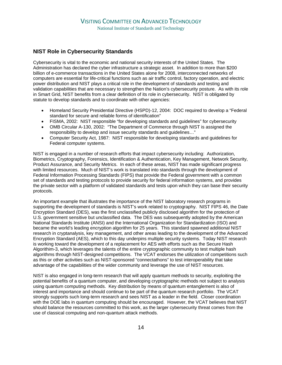## **NIST Role in Cybersecurity Standards**

Cybersecurity is vital to the economic and national security interests of the United States. The Administration has declared the cyber infrastructure a strategic asset. In addition to more than \$200 billion of e-commerce transactions in the United States alone for 2008, interconnected networks of computers are essential for life-critical functions such as air traffic control, factory operation, and electric power distribution and NIST plays a critical role in the development of standards and testing and validation capabilities that are necessary to strengthen the Nation's cybersecurity posture. As with its role in Smart Grid, NIST benefits from a clear definition of its role in cybersecurity. NIST is obligated by statute to develop standards and to coordinate with other agencies:

- Homeland Security Presidential Directive (HSPD)-12, 2004: DOC required to develop a "Federal standard for secure and reliable forms of identification"
- FISMA, 2002: NIST responsible "for developing standards and quidelines" for cybersecurity
- OMB Circular A-130, 2002: "The Department of Commerce through NIST is assigned the responsibility to develop and issue security standards and guidelines…"
- Computer Security Act, 1987: NIST responsible for developing standards and guidelines for Federal computer systems.

NIST is engaged in a number of research efforts that impact cybersecurity including: Authorization, Biometrics, Cryptography, Forensics, Identification & Authentication, Key Management, Network Security, Product Assurance, and Security Metrics. In each of these areas, NIST has made significant progress with limited resources. Much of NIST's work is translated into standards through the development of Federal Information Processing Standards (FIPS) that provide the Federal government with a common set of standards and testing protocols to provide security for federal information systems, and provides the private sector with a platform of validated standards and tests upon which they can base their security protocols.

An important example that illustrates the importance of the NIST laboratory research programs in supporting the development of standards is NIST's work related to cryptography. NIST FIPS 46, the Date Encryption Standard (DES), was the first unclassified publicly disclosed algorithm for the protection of U.S. government sensitive but unclassified data. The DES was subsequently adopted by the American National Standards Institute (ANSI) and the International Organization for Standardization (ISO) and became the world's leading encryption algorithm for 25 years. This standard spawned additional NIST research in cryptanalysis, key management, and other areas leading to the development of the Advanced Encryption Standard (AES), which to this day underpins multiple security systems. Today NIST research is working toward the development of a replacement for AES with efforts such as the Secure Hash Algorithim-3, which leverages the talents of the entire cryptographic community to test multiple hash algorithms through NIST-designed competitions. The VCAT endorses the utilization of competitions such as this or other activities such as NIST-sponsored "connectathons" to test interoperability that take advantage of the capabilities of the wider community and leverage the use of NIST resources.

NIST is also engaged in long-term research that will apply quantum methods to security, exploiting the potential benefits of a quantum computer, and developing cryptographic methods not subject to analysis using quantum computing methods. Key distribution by means of quantum entanglement is also of interest and importance and should continue to be part of the quantum research portfolio. The VCAT strongly supports such long-term research and sees NIST as a leader in the field. Closer coordination with the DOE labs in quantum computing should be encouraged. However, the VCAT believes that NIST should balance the resources committed to this work, as the larger cybersecurity threat comes from the use of classical computing and non-quantum attack methods.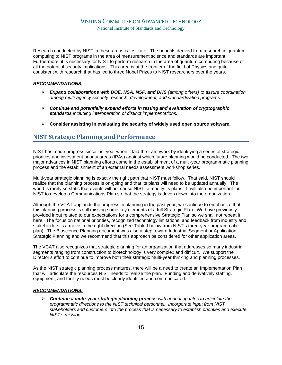Research conducted by NIST in these areas is first-rate. The benefits derived from research in quantum computing to NIST programs in the area of measurement science and standards are important. Furthermore, it is necessary for NIST to perform research in the area of quantum computing because of all the potential security implications. This area is at the frontier of the field of Physics and quite consistent with research that has led to three Nobel Prizes to NIST researchers over the years.

#### *RECOMMENDATIONS:*

- ¾ *Expand collaborations with DOE, NSA, NSF, and DHS (among others) to assure coordination among multi-agency security research, development, and standardization programs.*
- ¾ *Continue and potentially expand efforts in testing and evaluation of cryptographic standards including interoperation of distinct implementations.*
- ¾ **Consider assisting in evaluating the security of widely used open source software.**

## **NIST Strategic Planning and Performance**

NIST has made progress since last year when it laid the framework by identifying a series of strategic priorities and investment priority areas (IPAs) against which future planning would be conducted. The two major advances in NIST planning efforts come in the establishment of a multi-year programmatic planning process and the establishment of an external needs assessment workshop series.

Multi-year strategic planning is exactly the right path that NIST must follow. That said, NIST should realize that the planning process is on-going and that its plans will need to be updated annually. The world is rarely so static that events will not cause NIST to modify its plans. It will also be important for NIST to develop a Communications Plan so that the strategy is driven down into the organization.

Although the VCAT applauds the progress in planning in the past year, we continue to emphasize that this planning process is still missing some key elements of a full Strategic Plan. We have previously provided input related to our expectations for a comprehensive Strategic Plan so we shall not repeat it here. The focus on national priorities, recognized technology limitations, and feedback from industry and stakeholders is a move in the right direction (See Table I below from NIST's three-year programmatic plan). The Bioscience Planning document was also a step toward Industrial Segment or Application Strategic Planning and we recommend that this approach be considered for other application areas.

The VCAT also recognizes that strategic planning for an organization that addresses so many industrial segments ranging from construction to biotechnology is very complex and difficult. We support the Director's effort to continue to improve both their strategic multi-year thinking and planning processes.

As the NIST strategic planning process matures, there will be a need to create an Implementation Plan that will articulate the resources NIST needs to realize the plan. Funding and derivatively staffing, equipment, and facility needs must be clearly identified and communicated.

### *RECOMMENDATIONS:*

¾ *Continue a multi-year strategic planning process with annual updates to articulate the programmatic directions to the NIST technical personnel. Incorporate input from NIST stakeholders and customers into the process that is necessary to establish priorities and execute NIST's mission.*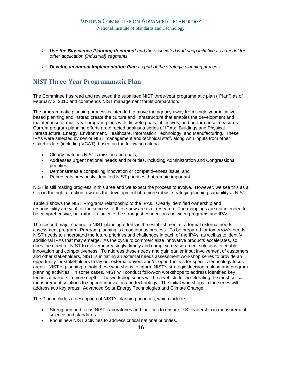- ¾ *Use the Bioscience Planning document and the associated workshop initiative as a model for other application (industrial) segments.*
- ¾ *Develop an annual Implementation Plan as part of the strategic planning process.*

## **NIST ThreeYear Programmatic Plan**

The Committee has read and reviewed the submitted NIST three-year programmatic plan ("Plan") as of February 2, 2010 and commends NIST management for its preparation.

The programmatic planning process is intended to move the agency away from single year initiativebased planning and instead create the culture and infrastructure that enables the development and maintenance of multi-year program plans with discrete goals, objectives, and performance measures. Current program planning efforts are directed against a series of IPAs: Buildings and Physical Infrastructure, Energy, Environment, Healthcare, Information Technology, and Manufacturing. These IPAs were selected by senior NIST management and technical staff, along with inputs from other stakeholders (including VCAT), based on the following criteria:

- Clearly matches NIST's mission and goals;
- Addresses urgent national needs and priorities, including Administration and Congressional priorities;
- Demonstrates a compelling innovation or competitiveness issue; and
- Represents previously identified NIST priorities that remain important.

NIST is still making progress in this area and we expect the process to evolve. However, we see this as a step in the right direction towards the development of a more robust strategic planning capability at NIST.

Table 1 shows the NIST Programs relationship to the IPAs. Clearly identified ownership and responsibility are vital for the success of these new areas of research. The mappings are not intended to be comprehensive, but rather to indicate the strongest connections between programs and IPAs.

The second major change in NIST planning efforts is the establishment of a formal external needs assessment program. Program planning is a continuous process. To be prepared for tomorrow's needs, NIST needs to understand the future priorities and challenges in each of the IPAs, as well as to identify additional IPAs that may emerge. As the cycle to commercialize innovative products accelerates, so does the need for NIST to deliver increasingly, timely and complex measurement solutions to enable innovation and competitiveness. To address these needs and gain earlier input involvement of customers and other stakeholders, NIST is initiating an external needs assessment workshop series to provide an opportunity for stakeholders to lay out external drivers and/or opportunities for specific technology focus areas. NIST is planning to hold these workshops to inform NIST's strategic decision making and program planning activities. In some cases, NIST will conduct follow-on workshops to address identified key technical barriers in more depth. The workshop series will be a vehicle for accelerating the most critical measurement solutions to support innovation and technology. The initial workshops in the series will address two key areas: Advanced Solar Energy Technologies and Climate Change.

The Plan includes a description of NIST's planning priorities, which include:

- Strengthen and focus NIST Laboratories and facilities to ensure U.S. leadership in measurement science and standards.
- Focus new NIST activities to address critical national priorities.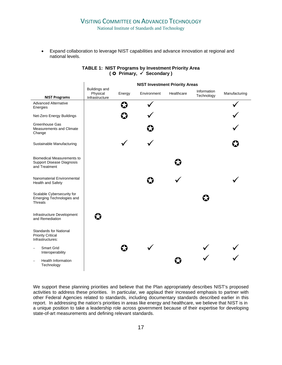## VISITING COMMITTEE ON ADVANCED TECHNOLOGY

National Institute of Standards and Technology

• Expand collaboration to leverage NIST capabilities and advance innovation at regional and national levels.

|                                                                                        | <b>NIST Investment Priority Areas</b> |        |             |            |                           |               |  |
|----------------------------------------------------------------------------------------|---------------------------------------|--------|-------------|------------|---------------------------|---------------|--|
|                                                                                        | Buildings and<br>Physical             | Energy | Environment | Healthcare | Information<br>Technology | Manufacturing |  |
| <b>NIST Programs</b><br><b>Advanced Alternative</b><br>Energies                        | Infrastructure                        |        |             |            |                           |               |  |
| Net-Zero Energy Buildings                                                              |                                       | IJ     |             |            |                           |               |  |
| Greenhouse Gas<br>Measurements and Climate<br>Change                                   |                                       |        |             |            |                           |               |  |
| Sustainable Manufacturing                                                              |                                       |        |             |            |                           |               |  |
| <b>Biomedical Measurements to</b><br><b>Support Disease Diagnosis</b><br>and Treatment |                                       |        |             | ⇔          |                           |               |  |
| Nanomaterial Environmental<br>Health and Safety                                        |                                       |        |             |            |                           |               |  |
| Scalable Cybersecurity for<br>Emerging Technologies and<br><b>Threats</b>              |                                       |        |             |            |                           |               |  |
| Infrastructure Development<br>and Remediation                                          | Ø                                     |        |             |            |                           |               |  |
| <b>Standards for National</b><br><b>Priority Critical</b><br>Infrastructures:          |                                       |        |             |            |                           |               |  |
| <b>Smart Grid</b><br>Interoperability                                                  |                                       |        |             |            |                           |               |  |
| <b>Health Information</b><br>Technology                                                |                                       |        |             |            |                           |               |  |

### **TABLE 1: NIST Programs by Investment Priority Area ( Primary,** 9 **Secondary )**

 $\ddot{\phantom{a}}$ 

We support these planning priorities and believe that the Plan appropriately describes NIST's proposed activities to address these priorities. In particular, we applaud their increased emphasis to partner with other Federal Agencies related to standards, including documentary standards described earlier in this report. In addressing the nation's priorities in areas like energy and healthcare, we believe that NIST is in a unique position to take a leadership role across government because of their expertise for developing state-of-art measurements and defining relevant standards.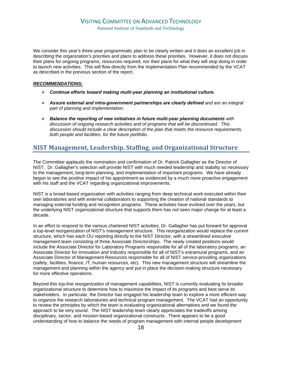We consider this year's three-year programmatic plan to be clearly written and it does an excellent job in describing the organization's priorities and plans to address these priorities. However, it does not discuss their plans for ongoing programs, resources required, nor their plans for what they will stop doing in order to launch new activities. This will flow directly from the Implementation Plan recommended by the VCAT as described in the previous section of the report.

#### *RECOMMENDATIONS:*

- ¾ *Continue efforts toward making multi-year planning an institutional culture.*
- ¾ *Assure external and intra-government partnerships are clearly defined and are an integral part of planning and implementation.*
- ¾ *Balance the reporting of new initiatives in future multi-year planning documents with discussion of ongoing research activities and of programs that will be discontinued. This discussion should include a clear description of the plan that meets the resource requirements, both people and facilities, for the future portfolio.*

## **NIST Management, Leadership, Staffing, and Organizational Structure**

The Committee applauds the nomination and confirmation of Dr. Patrick Gallagher as the Director of NIST. Dr. Gallagher's selection will provide NIST with much needed leadership and stability so necessary to the management, long-term planning, and implementation of important programs. We have already begun to see the positive impact of his appointment as evidenced by a much more proactive engagement with his staff and the VCAT regarding organizational improvements.

NIST is a broad-based organization with activities ranging from deep technical work executed within their own laboratories and with external collaborators to supporting the creation of national standards to managing external funding and recognition programs. These activities have evolved over the years, but the underlying NIST organizational structure that supports them has not seen major change for at least a decade.

In an effort to respond to the various chartered NIST activities, Dr. Gallagher has put forward for approval a top-level reorganization of NIST's management structure. This reorganization would replace the current structure, which has each OU reporting directly to the NIST Director, with a streamlined executive management team consisting of three Associate Directorships. The newly created positions would include the Associate Director for Laboratory Programs responsible for all of the laboratory programs; an Associate Director for Innovation and Industry responsible for all of NIST's extramural programs, and an Associate Director of Management Resources responsible for all of NIST service-providing organizations (safety, facilities, finance, IT, human resources, etc). This new management structure will streamline the management and planning within the agency and put in place the decision-making structure necessary for more effective operations.

Beyond this top-line reorganization of management capabilities, NIST is currently evaluating its broader organizational structure to determine how to maximize the impact of its programs and best serve its stakeholders. In particular, the Director has engaged his leadership team to explore a more efficient way to organize the research laboratories and technical program management. The VCAT had an opportunity to review the principles by which the team is evaluating organizational alternatives and we found the approach to be very sound. The NIST leadership team clearly appreciates the tradeoffs among disciplinary, sector, and mission-based organizational constructs. There appears to be a good understanding of how to balance the needs of program management with internal people development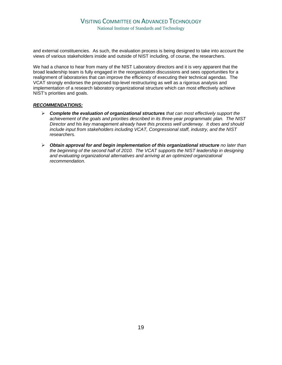and external constituencies. As such, the evaluation process is being designed to take into account the views of various stakeholders inside and outside of NIST including, of course, the researchers.

We had a chance to hear from many of the NIST Laboratory directors and it is very apparent that the broad leadership team is fully engaged in the reorganization discussions and sees opportunities for a realignment of laboratories that can improve the efficiency of executing their technical agendas. The VCAT strongly endorses the proposed top-level restructuring as well as a rigorous analysis and implementation of a research laboratory organizational structure which can most effectively achieve NIST's priorities and goals.

#### *RECOMMENDATIONS:*

- ¾ *Complete the evaluation of organizational structures that can most effectively support the achievement of the goals and priorities described in its three-year programmatic plan. The NIST Director and his key management already have this process well underway. It does and should include input from stakeholders including VCAT, Congressional staff, industry, and the NIST researchers.*
- ¾ *Obtain approval for and begin implementation of this organizational structure no later than the beginning of the second half of 2010. The VCAT supports the NIST leadership in designing and evaluating organizational alternatives and arriving at an optimized organizational recommendation.*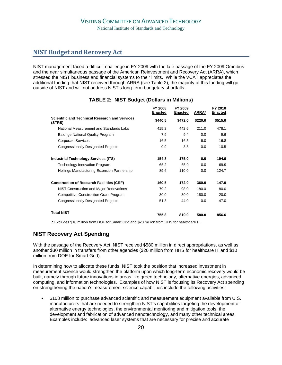## **NIST Budget and Recovery Act**

NIST management faced a difficult challenge in FY 2009 with the late passage of the FY 2009 Omnibus and the near simultaneous passage of the American Reinvestment and Recovery Act (ARRA), which stressed the NIST business and financial systems to their limits. While the VCAT appreciates the additional funding that NIST received through ARRA (see Table 2), the majority of this funding will go outside of NIST and will not address NIST's long-term budgetary shortfalls.

|                                                                 | FY 2008<br>Enacted | FY 2009<br>Enacted | ARRA*   | FY 2010<br><b>Enacted</b> |
|-----------------------------------------------------------------|--------------------|--------------------|---------|---------------------------|
| <b>Scientific and Technical Research and Services</b><br>(STRS) | \$440.5            | \$472.0            | \$220.0 | \$515.0                   |
| National Measurement and Standards Labs                         | 415.2              | 442.6              | 211.0   | 478.1                     |
| <b>Baldrige National Quality Program</b>                        | 7.9                | 9.4                | 0.0     | 9.6                       |
| <b>Corporate Services</b>                                       | 16.5               | 16.5               | 9.0     | 16.8                      |
| <b>Congressionally Designated Projects</b>                      | 0.9                | 3.5                | 0.0     | 10.5                      |
| <b>Industrial Technology Services (ITS)</b>                     | 154.8              | 175.0              | 0.0     | 194.6                     |
| <b>Technology Innovation Program</b>                            | 65.2               | 65.0               | 0.0     | 69.9                      |
| Hollings Manufacturing Extension Partnership                    | 89.6               | 110.0              | 0.0     | 124.7                     |
| <b>Construction of Research Facilities (CRF)</b>                | 160.5              | 172.0              | 360.0   | 147.0                     |
| NIST Construction and Major Renovations                         | 79.2               | 98.0               | 180.0   | 80.0                      |
| <b>Competitive Construction Grant Program</b>                   | 30.0               | 30.0               | 180.0   | 20.0                      |
| <b>Congressionally Designated Projects</b>                      | 51.3               | 44.0               | 0.0     | 47.0                      |
| <b>Total NIST</b>                                               | 755.8              | 819.0              | 580.0   | 856.6                     |

## **TABLE 2: NIST Budget (Dollars in Millions)**

 **\*** Excludes \$10 million from DOE for Smart Grid and \$20 million from HHS for healthcare IT.

## **NIST Recovery Act Spending**

With the passage of the Recovery Act, NIST received \$580 million in direct appropriations, as well as another \$30 million in transfers from other agencies (\$20 million from HHS for healthcare IT and \$10 million from DOE for Smart Grid).

In determining how to allocate these funds, NIST took the position that increased investment in measurement science would strengthen the platform upon which long-term economic recovery would be built, namely through future innovations in areas like green technology, alternative energies, advanced computing, and information technologies. Examples of how NIST is focusing its Recovery Act spending on strengthening the nation's measurement science capabilities include the following activities:

• \$108 million to purchase advanced scientific and measurement equipment available from U.S. manufacturers that are needed to strengthen NIST's capabilities targeting the development of alternative energy technologies, the environmental monitoring and mitigation tools, the development and fabrication of advanced nanotechnology, and many other technical areas. Examples include: advanced laser systems that are necessary for precise and accurate